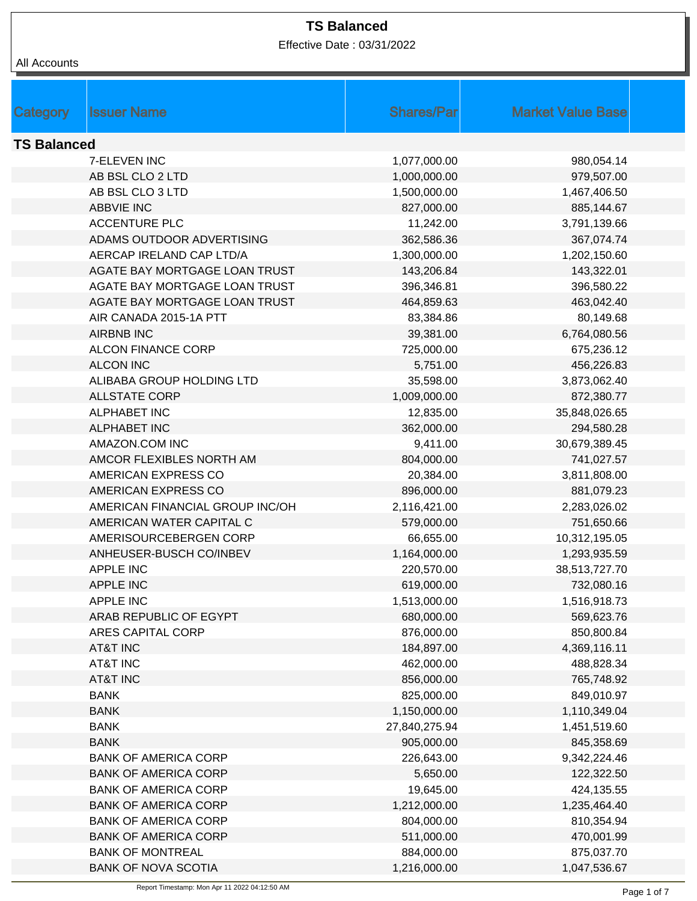Effective Date : 03/31/2022

|  | All Accounts |
|--|--------------|
|--|--------------|

|                    | <b>Issuer Name</b>              | <b>Shares/Par</b> | <b>Market Value Base</b> |  |
|--------------------|---------------------------------|-------------------|--------------------------|--|
| Category           |                                 |                   |                          |  |
| <b>TS Balanced</b> |                                 |                   |                          |  |
|                    | 7-ELEVEN INC                    | 1,077,000.00      | 980,054.14               |  |
|                    | AB BSL CLO 2 LTD                | 1,000,000.00      | 979,507.00               |  |
|                    | AB BSL CLO 3 LTD                | 1,500,000.00      | 1,467,406.50             |  |
|                    | <b>ABBVIE INC</b>               | 827,000.00        | 885,144.67               |  |
|                    | <b>ACCENTURE PLC</b>            | 11,242.00         | 3,791,139.66             |  |
|                    | ADAMS OUTDOOR ADVERTISING       | 362,586.36        | 367,074.74               |  |
|                    | AERCAP IRELAND CAP LTD/A        | 1,300,000.00      | 1,202,150.60             |  |
|                    | AGATE BAY MORTGAGE LOAN TRUST   | 143,206.84        | 143,322.01               |  |
|                    | AGATE BAY MORTGAGE LOAN TRUST   | 396,346.81        | 396,580.22               |  |
|                    | AGATE BAY MORTGAGE LOAN TRUST   | 464,859.63        | 463,042.40               |  |
|                    | AIR CANADA 2015-1A PTT          | 83,384.86         | 80,149.68                |  |
|                    | <b>AIRBNB INC</b>               | 39,381.00         | 6,764,080.56             |  |
|                    | <b>ALCON FINANCE CORP</b>       | 725,000.00        | 675,236.12               |  |
|                    | <b>ALCON INC</b>                | 5,751.00          | 456,226.83               |  |
|                    | ALIBABA GROUP HOLDING LTD       | 35,598.00         | 3,873,062.40             |  |
|                    | <b>ALLSTATE CORP</b>            |                   |                          |  |
|                    | <b>ALPHABET INC</b>             | 1,009,000.00      | 872,380.77               |  |
|                    |                                 | 12,835.00         | 35,848,026.65            |  |
|                    | <b>ALPHABET INC</b>             | 362,000.00        | 294,580.28               |  |
|                    | AMAZON.COM INC                  | 9,411.00          | 30,679,389.45            |  |
|                    | AMCOR FLEXIBLES NORTH AM        | 804,000.00        | 741,027.57               |  |
|                    | AMERICAN EXPRESS CO             | 20,384.00         | 3,811,808.00             |  |
|                    | AMERICAN EXPRESS CO             | 896,000.00        | 881,079.23               |  |
|                    | AMERICAN FINANCIAL GROUP INC/OH | 2,116,421.00      | 2,283,026.02             |  |
|                    | AMERICAN WATER CAPITAL C        | 579,000.00        | 751,650.66               |  |
|                    | AMERISOURCEBERGEN CORP          | 66,655.00         | 10,312,195.05            |  |
|                    | ANHEUSER-BUSCH CO/INBEV         | 1,164,000.00      | 1,293,935.59             |  |
|                    | <b>APPLE INC</b>                | 220,570.00        | 38,513,727.70            |  |
|                    | <b>APPLE INC</b>                | 619,000.00        | 732,080.16               |  |
|                    | <b>APPLE INC</b>                | 1,513,000.00      | 1,516,918.73             |  |
|                    | ARAB REPUBLIC OF EGYPT          | 680,000.00        | 569,623.76               |  |
|                    | ARES CAPITAL CORP               | 876,000.00        | 850,800.84               |  |
|                    | <b>AT&amp;T INC</b>             | 184,897.00        | 4,369,116.11             |  |
|                    | AT&T INC                        | 462,000.00        | 488,828.34               |  |
|                    | <b>AT&amp;T INC</b>             | 856,000.00        | 765,748.92               |  |
|                    | <b>BANK</b>                     | 825,000.00        | 849,010.97               |  |
|                    | <b>BANK</b>                     | 1,150,000.00      | 1,110,349.04             |  |
|                    | <b>BANK</b>                     | 27,840,275.94     | 1,451,519.60             |  |
|                    | <b>BANK</b>                     | 905,000.00        | 845,358.69               |  |
|                    | <b>BANK OF AMERICA CORP</b>     | 226,643.00        | 9,342,224.46             |  |
|                    | <b>BANK OF AMERICA CORP</b>     | 5,650.00          | 122,322.50               |  |
|                    | <b>BANK OF AMERICA CORP</b>     | 19,645.00         | 424,135.55               |  |
|                    | <b>BANK OF AMERICA CORP</b>     | 1,212,000.00      | 1,235,464.40             |  |
|                    | <b>BANK OF AMERICA CORP</b>     | 804,000.00        | 810,354.94               |  |
|                    | <b>BANK OF AMERICA CORP</b>     | 511,000.00        | 470,001.99               |  |
|                    | <b>BANK OF MONTREAL</b>         | 884,000.00        | 875,037.70               |  |
|                    | <b>BANK OF NOVA SCOTIA</b>      | 1,216,000.00      | 1,047,536.67             |  |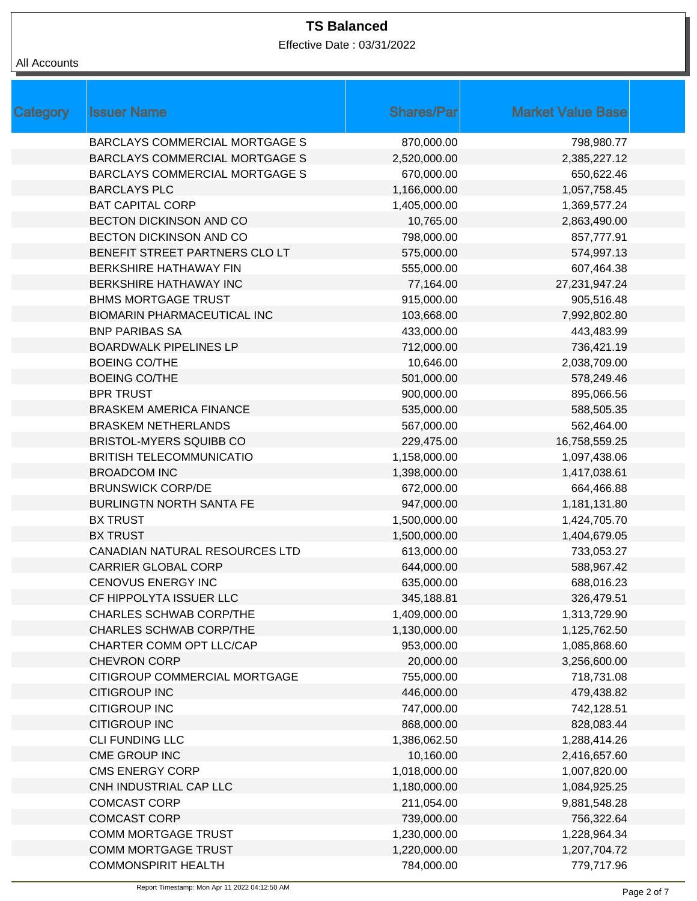Effective Date : 03/31/2022

| Category | <b>Issuer Name</b>                    | <b>Shares/Par</b> | <b>Market Value Base</b> |
|----------|---------------------------------------|-------------------|--------------------------|
|          | <b>BARCLAYS COMMERCIAL MORTGAGE S</b> | 870,000.00        | 798,980.77               |
|          | <b>BARCLAYS COMMERCIAL MORTGAGE S</b> | 2,520,000.00      | 2,385,227.12             |
|          | <b>BARCLAYS COMMERCIAL MORTGAGE S</b> | 670,000.00        | 650,622.46               |
|          | <b>BARCLAYS PLC</b>                   | 1,166,000.00      | 1,057,758.45             |
|          | <b>BAT CAPITAL CORP</b>               | 1,405,000.00      | 1,369,577.24             |
|          | BECTON DICKINSON AND CO               | 10,765.00         | 2,863,490.00             |
|          | BECTON DICKINSON AND CO               | 798,000.00        | 857,777.91               |
|          | BENEFIT STREET PARTNERS CLO LT        | 575,000.00        | 574,997.13               |
|          | <b>BERKSHIRE HATHAWAY FIN</b>         | 555,000.00        | 607,464.38               |
|          | BERKSHIRE HATHAWAY INC                | 77,164.00         | 27,231,947.24            |
|          | <b>BHMS MORTGAGE TRUST</b>            | 915,000.00        | 905,516.48               |
|          | <b>BIOMARIN PHARMACEUTICAL INC</b>    | 103,668.00        | 7,992,802.80             |
|          | <b>BNP PARIBAS SA</b>                 | 433,000.00        | 443,483.99               |
|          | <b>BOARDWALK PIPELINES LP</b>         | 712,000.00        | 736,421.19               |
|          | <b>BOEING CO/THE</b>                  | 10,646.00         | 2,038,709.00             |
|          | <b>BOEING CO/THE</b>                  | 501,000.00        | 578,249.46               |
|          | <b>BPR TRUST</b>                      | 900,000.00        | 895,066.56               |
|          | <b>BRASKEM AMERICA FINANCE</b>        | 535,000.00        | 588,505.35               |
|          | <b>BRASKEM NETHERLANDS</b>            | 567,000.00        | 562,464.00               |
|          | <b>BRISTOL-MYERS SQUIBB CO</b>        | 229,475.00        | 16,758,559.25            |
|          | <b>BRITISH TELECOMMUNICATIO</b>       | 1,158,000.00      | 1,097,438.06             |
|          | <b>BROADCOM INC</b>                   | 1,398,000.00      | 1,417,038.61             |
|          | <b>BRUNSWICK CORP/DE</b>              | 672,000.00        | 664,466.88               |
|          | <b>BURLINGTN NORTH SANTA FE</b>       | 947,000.00        | 1,181,131.80             |
|          | <b>BX TRUST</b>                       | 1,500,000.00      | 1,424,705.70             |
|          | <b>BX TRUST</b>                       | 1,500,000.00      | 1,404,679.05             |
|          | CANADIAN NATURAL RESOURCES LTD        | 613,000.00        | 733,053.27               |
|          | <b>CARRIER GLOBAL CORP</b>            | 644,000.00        | 588,967.42               |
|          | <b>CENOVUS ENERGY INC</b>             | 635,000.00        | 688,016.23               |
|          | CF HIPPOLYTA ISSUER LLC               | 345,188.81        | 326,479.51               |
|          | <b>CHARLES SCHWAB CORP/THE</b>        | 1,409,000.00      | 1,313,729.90             |
|          | <b>CHARLES SCHWAB CORP/THE</b>        | 1,130,000.00      | 1,125,762.50             |
|          | CHARTER COMM OPT LLC/CAP              | 953,000.00        | 1,085,868.60             |
|          | <b>CHEVRON CORP</b>                   | 20,000.00         | 3,256,600.00             |
|          | CITIGROUP COMMERCIAL MORTGAGE         | 755,000.00        | 718,731.08               |
|          | <b>CITIGROUP INC</b>                  | 446,000.00        | 479,438.82               |
|          | <b>CITIGROUP INC</b>                  | 747,000.00        | 742,128.51               |
|          | <b>CITIGROUP INC</b>                  | 868,000.00        | 828,083.44               |
|          | <b>CLI FUNDING LLC</b>                | 1,386,062.50      | 1,288,414.26             |
|          | CME GROUP INC                         | 10,160.00         | 2,416,657.60             |
|          | <b>CMS ENERGY CORP</b>                | 1,018,000.00      | 1,007,820.00             |
|          | CNH INDUSTRIAL CAP LLC                | 1,180,000.00      | 1,084,925.25             |
|          | <b>COMCAST CORP</b>                   | 211,054.00        | 9,881,548.28             |
|          | <b>COMCAST CORP</b>                   | 739,000.00        | 756,322.64               |
|          | <b>COMM MORTGAGE TRUST</b>            | 1,230,000.00      | 1,228,964.34             |
|          | <b>COMM MORTGAGE TRUST</b>            | 1,220,000.00      | 1,207,704.72             |
|          | <b>COMMONSPIRIT HEALTH</b>            | 784,000.00        | 779,717.96               |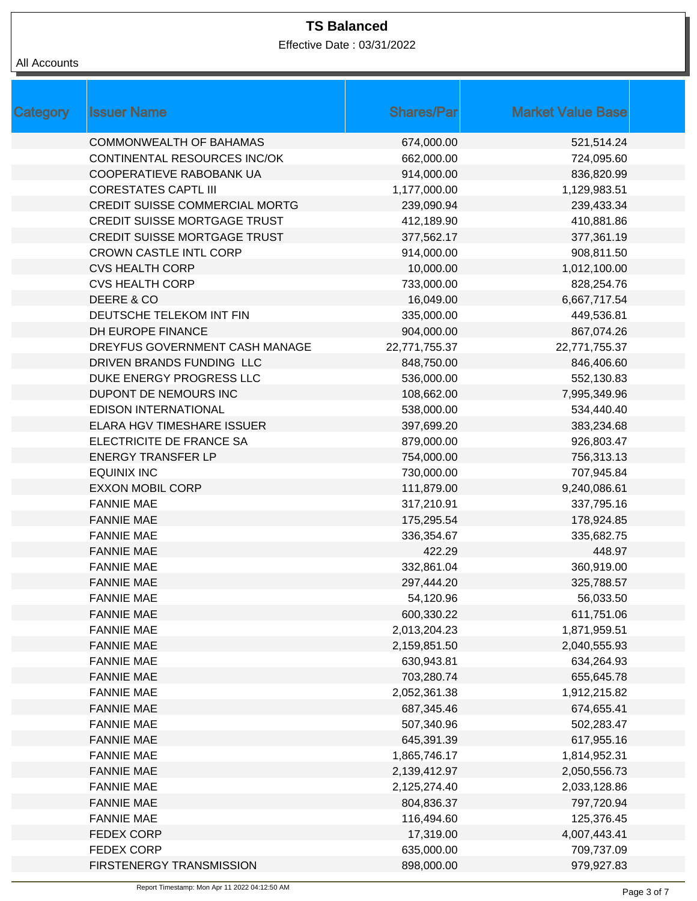Effective Date : 03/31/2022

| Category | <b>Issuer Name</b>                    | <b>Shares/Par</b> | <b>Market Value Base</b> |
|----------|---------------------------------------|-------------------|--------------------------|
|          | <b>COMMONWEALTH OF BAHAMAS</b>        | 674,000.00        | 521,514.24               |
|          | CONTINENTAL RESOURCES INC/OK          | 662,000.00        | 724,095.60               |
|          | COOPERATIEVE RABOBANK UA              | 914,000.00        | 836,820.99               |
|          | <b>CORESTATES CAPTL III</b>           | 1,177,000.00      | 1,129,983.51             |
|          | <b>CREDIT SUISSE COMMERCIAL MORTG</b> | 239,090.94        | 239,433.34               |
|          | <b>CREDIT SUISSE MORTGAGE TRUST</b>   | 412,189.90        | 410,881.86               |
|          | <b>CREDIT SUISSE MORTGAGE TRUST</b>   | 377,562.17        | 377,361.19               |
|          | <b>CROWN CASTLE INTL CORP</b>         | 914,000.00        | 908,811.50               |
|          | <b>CVS HEALTH CORP</b>                | 10,000.00         | 1,012,100.00             |
|          | <b>CVS HEALTH CORP</b>                | 733,000.00        | 828,254.76               |
|          | DEERE & CO                            | 16,049.00         | 6,667,717.54             |
|          | DEUTSCHE TELEKOM INT FIN              | 335,000.00        | 449,536.81               |
|          | DH EUROPE FINANCE                     | 904,000.00        | 867,074.26               |
|          | DREYFUS GOVERNMENT CASH MANAGE        | 22,771,755.37     | 22,771,755.37            |
|          | DRIVEN BRANDS FUNDING LLC             | 848,750.00        | 846,406.60               |
|          | DUKE ENERGY PROGRESS LLC              | 536,000.00        | 552,130.83               |
|          | DUPONT DE NEMOURS INC                 | 108,662.00        | 7,995,349.96             |
|          | <b>EDISON INTERNATIONAL</b>           | 538,000.00        | 534,440.40               |
|          | ELARA HGV TIMESHARE ISSUER            | 397,699.20        | 383,234.68               |
|          | ELECTRICITE DE FRANCE SA              | 879,000.00        | 926,803.47               |
|          | <b>ENERGY TRANSFER LP</b>             | 754,000.00        | 756,313.13               |
|          | <b>EQUINIX INC</b>                    | 730,000.00        | 707,945.84               |
|          | <b>EXXON MOBIL CORP</b>               | 111,879.00        | 9,240,086.61             |
|          | <b>FANNIE MAE</b>                     | 317,210.91        | 337,795.16               |
|          | <b>FANNIE MAE</b>                     | 175,295.54        | 178,924.85               |
|          | <b>FANNIE MAE</b>                     | 336,354.67        | 335,682.75               |
|          | <b>FANNIE MAE</b>                     | 422.29            | 448.97                   |
|          | <b>FANNIE MAE</b>                     | 332,861.04        | 360,919.00               |
|          | <b>FANNIE MAE</b>                     | 297,444.20        | 325,788.57               |
|          | <b>FANNIE MAE</b>                     | 54,120.96         | 56,033.50                |
|          | <b>FANNIE MAE</b>                     | 600,330.22        | 611,751.06               |
|          | <b>FANNIE MAE</b>                     | 2,013,204.23      | 1,871,959.51             |
|          | <b>FANNIE MAE</b>                     | 2,159,851.50      | 2,040,555.93             |
|          | <b>FANNIE MAE</b>                     | 630,943.81        | 634,264.93               |
|          | <b>FANNIE MAE</b>                     | 703,280.74        | 655,645.78               |
|          | <b>FANNIE MAE</b>                     | 2,052,361.38      | 1,912,215.82             |
|          | <b>FANNIE MAE</b>                     | 687,345.46        | 674,655.41               |
|          | <b>FANNIE MAE</b>                     | 507,340.96        | 502,283.47               |
|          | <b>FANNIE MAE</b>                     | 645,391.39        | 617,955.16               |
|          | <b>FANNIE MAE</b>                     | 1,865,746.17      | 1,814,952.31             |
|          | <b>FANNIE MAE</b>                     | 2,139,412.97      | 2,050,556.73             |
|          | <b>FANNIE MAE</b>                     | 2,125,274.40      | 2,033,128.86             |
|          | <b>FANNIE MAE</b>                     | 804,836.37        | 797,720.94               |
|          | <b>FANNIE MAE</b>                     | 116,494.60        | 125,376.45               |
|          | <b>FEDEX CORP</b>                     | 17,319.00         | 4,007,443.41             |
|          | <b>FEDEX CORP</b>                     | 635,000.00        | 709,737.09               |
|          | FIRSTENERGY TRANSMISSION              | 898,000.00        | 979,927.83               |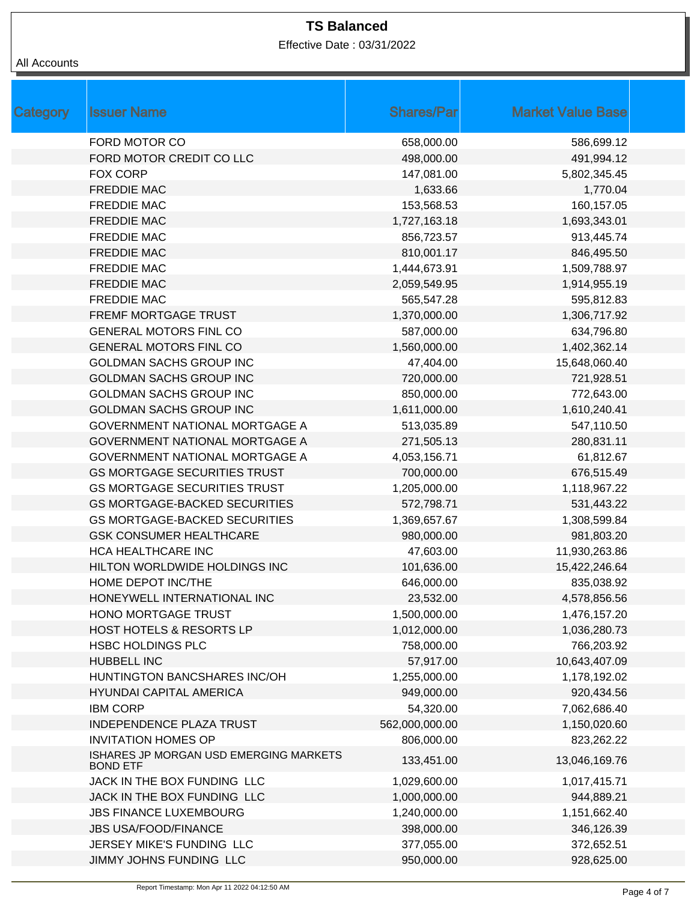Effective Date : 03/31/2022

| Category | <b>Issuer Name</b>                                        | <b>Shares/Par</b> | <b>Market Value Base</b> |  |
|----------|-----------------------------------------------------------|-------------------|--------------------------|--|
|          | FORD MOTOR CO                                             | 658,000.00        | 586,699.12               |  |
|          | FORD MOTOR CREDIT CO LLC                                  | 498,000.00        | 491,994.12               |  |
|          | <b>FOX CORP</b>                                           | 147,081.00        | 5,802,345.45             |  |
|          | <b>FREDDIE MAC</b>                                        | 1,633.66          | 1,770.04                 |  |
|          | <b>FREDDIE MAC</b>                                        | 153,568.53        | 160,157.05               |  |
|          | <b>FREDDIE MAC</b>                                        | 1,727,163.18      | 1,693,343.01             |  |
|          | <b>FREDDIE MAC</b>                                        | 856,723.57        | 913,445.74               |  |
|          | <b>FREDDIE MAC</b>                                        | 810,001.17        | 846,495.50               |  |
|          | <b>FREDDIE MAC</b>                                        | 1,444,673.91      | 1,509,788.97             |  |
|          | <b>FREDDIE MAC</b>                                        | 2,059,549.95      | 1,914,955.19             |  |
|          | <b>FREDDIE MAC</b>                                        | 565,547.28        | 595,812.83               |  |
|          | FREMF MORTGAGE TRUST                                      | 1,370,000.00      | 1,306,717.92             |  |
|          | <b>GENERAL MOTORS FINL CO</b>                             | 587,000.00        | 634,796.80               |  |
|          | <b>GENERAL MOTORS FINL CO</b>                             | 1,560,000.00      | 1,402,362.14             |  |
|          | <b>GOLDMAN SACHS GROUP INC</b>                            | 47,404.00         | 15,648,060.40            |  |
|          | <b>GOLDMAN SACHS GROUP INC</b>                            | 720,000.00        | 721,928.51               |  |
|          | <b>GOLDMAN SACHS GROUP INC</b>                            | 850,000.00        | 772,643.00               |  |
|          | <b>GOLDMAN SACHS GROUP INC</b>                            | 1,611,000.00      | 1,610,240.41             |  |
|          | <b>GOVERNMENT NATIONAL MORTGAGE A</b>                     | 513,035.89        | 547,110.50               |  |
|          | GOVERNMENT NATIONAL MORTGAGE A                            | 271,505.13        | 280,831.11               |  |
|          | <b>GOVERNMENT NATIONAL MORTGAGE A</b>                     | 4,053,156.71      | 61,812.67                |  |
|          | <b>GS MORTGAGE SECURITIES TRUST</b>                       | 700,000.00        | 676,515.49               |  |
|          | <b>GS MORTGAGE SECURITIES TRUST</b>                       | 1,205,000.00      | 1,118,967.22             |  |
|          | <b>GS MORTGAGE-BACKED SECURITIES</b>                      | 572,798.71        | 531,443.22               |  |
|          | <b>GS MORTGAGE-BACKED SECURITIES</b>                      | 1,369,657.67      | 1,308,599.84             |  |
|          | <b>GSK CONSUMER HEALTHCARE</b>                            | 980,000.00        | 981,803.20               |  |
|          | <b>HCA HEALTHCARE INC</b>                                 | 47,603.00         | 11,930,263.86            |  |
|          | HILTON WORLDWIDE HOLDINGS INC                             | 101,636.00        | 15,422,246.64            |  |
|          | HOME DEPOT INC/THE                                        | 646,000.00        | 835,038.92               |  |
|          | HONEYWELL INTERNATIONAL INC                               | 23,532.00         | 4,578,856.56             |  |
|          | HONO MORTGAGE TRUST                                       | 1,500,000.00      | 1,476,157.20             |  |
|          | HOST HOTELS & RESORTS LP                                  | 1,012,000.00      | 1,036,280.73             |  |
|          | <b>HSBC HOLDINGS PLC</b>                                  | 758,000.00        | 766,203.92               |  |
|          | <b>HUBBELL INC</b>                                        | 57,917.00         | 10,643,407.09            |  |
|          | HUNTINGTON BANCSHARES INC/OH                              | 1,255,000.00      | 1,178,192.02             |  |
|          | <b>HYUNDAI CAPITAL AMERICA</b>                            | 949,000.00        | 920,434.56               |  |
|          | <b>IBM CORP</b>                                           | 54,320.00         | 7,062,686.40             |  |
|          | <b>INDEPENDENCE PLAZA TRUST</b>                           | 562,000,000.00    | 1,150,020.60             |  |
|          | <b>INVITATION HOMES OP</b>                                | 806,000.00        | 823,262.22               |  |
|          | ISHARES JP MORGAN USD EMERGING MARKETS<br><b>BOND ETF</b> | 133,451.00        | 13,046,169.76            |  |
|          | JACK IN THE BOX FUNDING LLC                               | 1,029,600.00      | 1,017,415.71             |  |
|          | JACK IN THE BOX FUNDING LLC                               | 1,000,000.00      | 944,889.21               |  |
|          | <b>JBS FINANCE LUXEMBOURG</b>                             | 1,240,000.00      | 1,151,662.40             |  |
|          | <b>JBS USA/FOOD/FINANCE</b>                               | 398,000.00        | 346,126.39               |  |
|          | JERSEY MIKE'S FUNDING LLC                                 | 377,055.00        | 372,652.51               |  |
|          | JIMMY JOHNS FUNDING LLC                                   | 950,000.00        | 928,625.00               |  |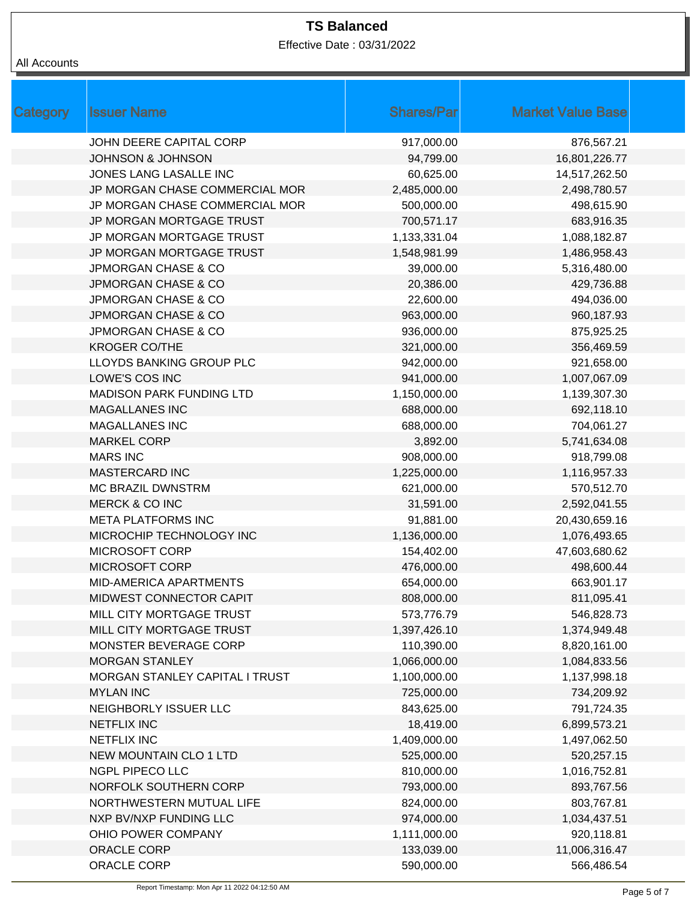Effective Date : 03/31/2022

| <b>Issuer Name</b><br><b>Shares/Par</b><br><b>Market Value Base</b><br>Category<br>JOHN DEERE CAPITAL CORP<br>917,000.00 | 876,567.21    |
|--------------------------------------------------------------------------------------------------------------------------|---------------|
|                                                                                                                          |               |
|                                                                                                                          |               |
| <b>JOHNSON &amp; JOHNSON</b><br>94,799.00                                                                                | 16,801,226.77 |
| JONES LANG LASALLE INC<br>60,625.00                                                                                      | 14,517,262.50 |
| 2,485,000.00<br>JP MORGAN CHASE COMMERCIAL MOR                                                                           | 2,498,780.57  |
| JP MORGAN CHASE COMMERCIAL MOR<br>500,000.00                                                                             | 498,615.90    |
| 700,571.17<br>JP MORGAN MORTGAGE TRUST                                                                                   | 683,916.35    |
| JP MORGAN MORTGAGE TRUST<br>1,133,331.04                                                                                 | 1,088,182.87  |
| JP MORGAN MORTGAGE TRUST<br>1,548,981.99                                                                                 | 1,486,958.43  |
| <b>JPMORGAN CHASE &amp; CO</b><br>39,000.00                                                                              | 5,316,480.00  |
| <b>JPMORGAN CHASE &amp; CO</b><br>20,386.00                                                                              | 429,736.88    |
| 22,600.00<br><b>JPMORGAN CHASE &amp; CO</b>                                                                              | 494,036.00    |
| 963,000.00<br><b>JPMORGAN CHASE &amp; CO</b>                                                                             | 960,187.93    |
| 936,000.00<br><b>JPMORGAN CHASE &amp; CO</b>                                                                             | 875,925.25    |
| <b>KROGER CO/THE</b><br>321,000.00                                                                                       | 356,469.59    |
| LLOYDS BANKING GROUP PLC<br>942,000.00                                                                                   | 921,658.00    |
| LOWE'S COS INC<br>941,000.00                                                                                             | 1,007,067.09  |
| MADISON PARK FUNDING LTD<br>1,150,000.00                                                                                 | 1,139,307.30  |
| 688,000.00<br><b>MAGALLANES INC</b>                                                                                      | 692,118.10    |
| 688,000.00<br><b>MAGALLANES INC</b>                                                                                      | 704,061.27    |
| <b>MARKEL CORP</b><br>3,892.00                                                                                           | 5,741,634.08  |
| <b>MARS INC</b><br>908,000.00                                                                                            | 918,799.08    |
| <b>MASTERCARD INC</b><br>1,225,000.00                                                                                    | 1,116,957.33  |
| <b>MC BRAZIL DWNSTRM</b><br>621,000.00                                                                                   | 570,512.70    |
| 31,591.00<br>MERCK & CO INC                                                                                              | 2,592,041.55  |
| <b>META PLATFORMS INC</b><br>91,881.00                                                                                   | 20,430,659.16 |
| MICROCHIP TECHNOLOGY INC<br>1,136,000.00                                                                                 | 1,076,493.65  |
| MICROSOFT CORP<br>154,402.00                                                                                             | 47,603,680.62 |
| <b>MICROSOFT CORP</b><br>476,000.00                                                                                      | 498,600.44    |
| 654,000.00<br><b>MID-AMERICA APARTMENTS</b>                                                                              | 663,901.17    |
| MIDWEST CONNECTOR CAPIT<br>808,000.00                                                                                    | 811,095.41    |
| MILL CITY MORTGAGE TRUST<br>573,776.79                                                                                   | 546,828.73    |
| MILL CITY MORTGAGE TRUST<br>1,397,426.10                                                                                 | 1,374,949.48  |
| MONSTER BEVERAGE CORP<br>110,390.00                                                                                      | 8,820,161.00  |
| 1,066,000.00<br><b>MORGAN STANLEY</b>                                                                                    | 1,084,833.56  |
| MORGAN STANLEY CAPITAL I TRUST<br>1,100,000.00                                                                           | 1,137,998.18  |
| <b>MYLAN INC</b><br>725,000.00                                                                                           | 734,209.92    |
| NEIGHBORLY ISSUER LLC<br>843,625.00                                                                                      | 791,724.35    |
| <b>NETFLIX INC</b><br>18,419.00                                                                                          | 6,899,573.21  |
| 1,409,000.00<br><b>NETFLIX INC</b>                                                                                       | 1,497,062.50  |
| <b>NEW MOUNTAIN CLO 1 LTD</b><br>525,000.00                                                                              | 520,257.15    |
| NGPL PIPECO LLC<br>810,000.00                                                                                            | 1,016,752.81  |
| NORFOLK SOUTHERN CORP<br>793,000.00                                                                                      | 893,767.56    |
| NORTHWESTERN MUTUAL LIFE<br>824,000.00                                                                                   | 803,767.81    |
| NXP BV/NXP FUNDING LLC<br>974,000.00                                                                                     | 1,034,437.51  |
| 1,111,000.00<br>OHIO POWER COMPANY                                                                                       | 920,118.81    |
| ORACLE CORP<br>133,039.00                                                                                                | 11,006,316.47 |
| ORACLE CORP<br>590,000.00                                                                                                | 566,486.54    |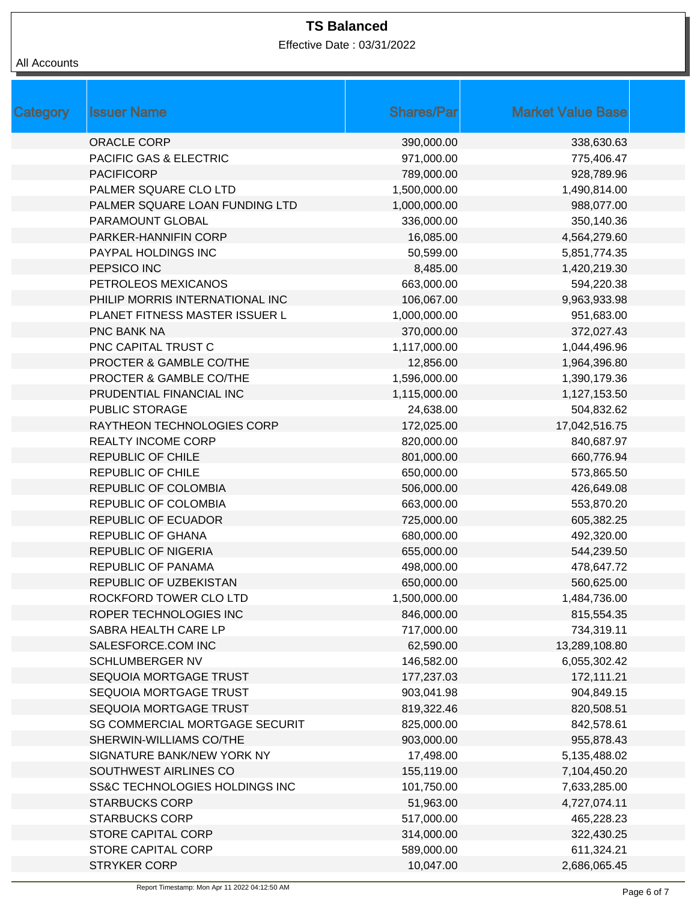Effective Date : 03/31/2022

| Category | <b>Issuer Name</b>                    | <b>Shares/Par</b> | <b>Market Value Base</b> |  |
|----------|---------------------------------------|-------------------|--------------------------|--|
|          | <b>ORACLE CORP</b>                    | 390,000.00        | 338,630.63               |  |
|          | <b>PACIFIC GAS &amp; ELECTRIC</b>     | 971,000.00        | 775,406.47               |  |
|          | <b>PACIFICORP</b>                     | 789,000.00        | 928,789.96               |  |
|          | PALMER SQUARE CLO LTD                 | 1,500,000.00      | 1,490,814.00             |  |
|          | PALMER SQUARE LOAN FUNDING LTD        | 1,000,000.00      | 988,077.00               |  |
|          | PARAMOUNT GLOBAL                      | 336,000.00        | 350,140.36               |  |
|          | PARKER-HANNIFIN CORP                  | 16,085.00         | 4,564,279.60             |  |
|          | PAYPAL HOLDINGS INC                   | 50,599.00         | 5,851,774.35             |  |
|          | PEPSICO INC                           | 8,485.00          | 1,420,219.30             |  |
|          | PETROLEOS MEXICANOS                   | 663,000.00        | 594,220.38               |  |
|          | PHILIP MORRIS INTERNATIONAL INC       | 106,067.00        | 9,963,933.98             |  |
|          | PLANET FITNESS MASTER ISSUER L        | 1,000,000.00      | 951,683.00               |  |
|          | <b>PNC BANK NA</b>                    | 370,000.00        | 372,027.43               |  |
|          | PNC CAPITAL TRUST C                   | 1,117,000.00      | 1,044,496.96             |  |
|          | PROCTER & GAMBLE CO/THE               | 12,856.00         | 1,964,396.80             |  |
|          | PROCTER & GAMBLE CO/THE               | 1,596,000.00      | 1,390,179.36             |  |
|          | PRUDENTIAL FINANCIAL INC              | 1,115,000.00      | 1,127,153.50             |  |
|          | PUBLIC STORAGE                        | 24,638.00         | 504,832.62               |  |
|          | RAYTHEON TECHNOLOGIES CORP            | 172,025.00        | 17,042,516.75            |  |
|          | <b>REALTY INCOME CORP</b>             | 820,000.00        | 840,687.97               |  |
|          | <b>REPUBLIC OF CHILE</b>              | 801,000.00        | 660,776.94               |  |
|          | <b>REPUBLIC OF CHILE</b>              | 650,000.00        | 573,865.50               |  |
|          | <b>REPUBLIC OF COLOMBIA</b>           | 506,000.00        | 426,649.08               |  |
|          | REPUBLIC OF COLOMBIA                  | 663,000.00        | 553,870.20               |  |
|          | <b>REPUBLIC OF ECUADOR</b>            | 725,000.00        | 605,382.25               |  |
|          | <b>REPUBLIC OF GHANA</b>              | 680,000.00        | 492,320.00               |  |
|          | <b>REPUBLIC OF NIGERIA</b>            | 655,000.00        | 544,239.50               |  |
|          | <b>REPUBLIC OF PANAMA</b>             | 498,000.00        | 478,647.72               |  |
|          | REPUBLIC OF UZBEKISTAN                | 650,000.00        | 560,625.00               |  |
|          | ROCKFORD TOWER CLO LTD                | 1,500,000.00      | 1,484,736.00             |  |
|          | ROPER TECHNOLOGIES INC                | 846,000.00        | 815,554.35               |  |
|          | SABRA HEALTH CARE LP                  | 717,000.00        | 734,319.11               |  |
|          | SALESFORCE.COM INC                    | 62,590.00         | 13,289,108.80            |  |
|          | <b>SCHLUMBERGER NV</b>                | 146,582.00        | 6,055,302.42             |  |
|          | SEQUOIA MORTGAGE TRUST                | 177,237.03        | 172,111.21               |  |
|          | SEQUOIA MORTGAGE TRUST                | 903,041.98        | 904,849.15               |  |
|          | SEQUOIA MORTGAGE TRUST                | 819,322.46        | 820,508.51               |  |
|          | <b>SG COMMERCIAL MORTGAGE SECURIT</b> | 825,000.00        | 842,578.61               |  |
|          | SHERWIN-WILLIAMS CO/THE               | 903,000.00        | 955,878.43               |  |
|          | SIGNATURE BANK/NEW YORK NY            | 17,498.00         | 5,135,488.02             |  |
|          | SOUTHWEST AIRLINES CO                 | 155,119.00        | 7,104,450.20             |  |
|          | SS&C TECHNOLOGIES HOLDINGS INC        | 101,750.00        | 7,633,285.00             |  |
|          | <b>STARBUCKS CORP</b>                 | 51,963.00         | 4,727,074.11             |  |
|          | <b>STARBUCKS CORP</b>                 | 517,000.00        | 465,228.23               |  |
|          | <b>STORE CAPITAL CORP</b>             | 314,000.00        | 322,430.25               |  |
|          | STORE CAPITAL CORP                    | 589,000.00        | 611,324.21               |  |
|          | <b>STRYKER CORP</b>                   | 10,047.00         | 2,686,065.45             |  |